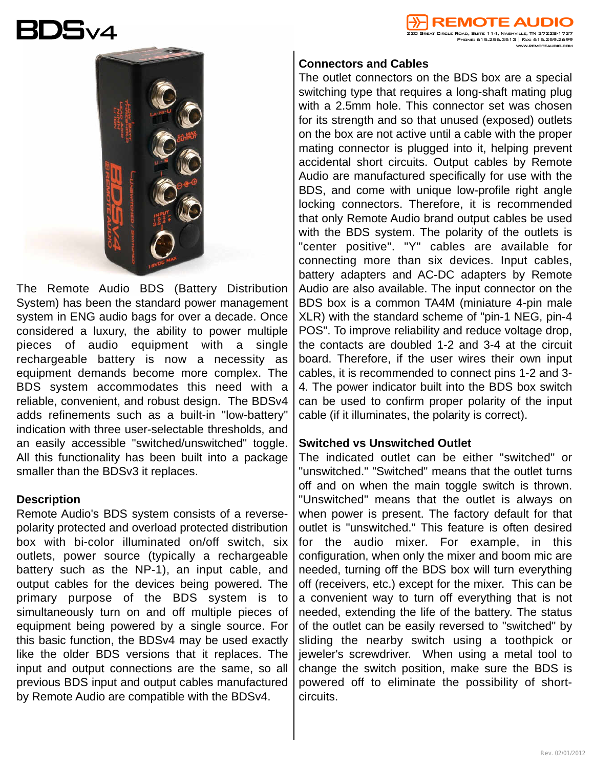# 15v4





The Remote Audio BDS (Battery Distribution System) has been the standard power management system in ENG audio bags for over a decade. Once considered a luxury, the ability to power multiple pieces of audio equipment with a single rechargeable battery is now a necessity as equipment demands become more complex. The BDS system accommodates this need with a reliable, convenient, and robust design. The BDSv4 adds refinements such as a built-in "low-battery" indication with three user-selectable thresholds, and an easily accessible "switched/unswitched" toggle. All this functionality has been built into a package smaller than the BDSv3 it replaces.

# **Description**

Remote Audio's BDS system consists of a reversepolarity protected and overload protected distribution box with bi-color illuminated on/off switch, six outlets, power source (typically a rechargeable battery such as the NP-1), an input cable, and output cables for the devices being powered. The primary purpose of the BDS system is to simultaneously turn on and off multiple pieces of equipment being powered by a single source. For this basic function, the BDSv4 may be used exactly like the older BDS versions that it replaces. The input and output connections are the same, so all previous BDS input and output cables manufactured by Remote Audio are compatible with the BDSv4.

# **Connectors and Cables**

The outlet connectors on the BDS box are a special switching type that requires a long-shaft mating plug with a 2.5mm hole. This connector set was chosen for its strength and so that unused (exposed) outlets on the box are not active until a cable with the proper mating connector is plugged into it, helping prevent accidental short circuits. Output cables by Remote Audio are manufactured specifically for use with the BDS, and come with unique low-profile right angle locking connectors. Therefore, it is recommended that only Remote Audio brand output cables be used with the BDS system. The polarity of the outlets is "center positive". "Y" cables are available for connecting more than six devices. Input cables, battery adapters and AC-DC adapters by Remote Audio are also available. The input connector on the BDS box is a common TA4M (miniature 4-pin male XLR) with the standard scheme of "pin-1 NEG, pin-4 POS". To improve reliability and reduce voltage drop, the contacts are doubled 1-2 and 3-4 at the circuit board. Therefore, if the user wires their own input cables, it is recommended to connect pins 1-2 and 3- 4. The power indicator built into the BDS box switch can be used to confirm proper polarity of the input cable (if it illuminates, the polarity is correct).

# **Switched vs Unswitched Outlet**

The indicated outlet can be either "switched" or "unswitched." "Switched" means that the outlet turns off and on when the main toggle switch is thrown. "Unswitched" means that the outlet is always on when power is present. The factory default for that outlet is "unswitched." This feature is often desired for the audio mixer. For example, in this configuration, when only the mixer and boom mic are needed, turning off the BDS box will turn everything off (receivers, etc.) except for the mixer. This can be a convenient way to turn off everything that is not needed, extending the life of the battery. The status of the outlet can be easily reversed to "switched" by sliding the nearby switch using a toothpick or jeweler's screwdriver. When using a metal tool to change the switch position, make sure the BDS is powered off to eliminate the possibility of shortcircuits.